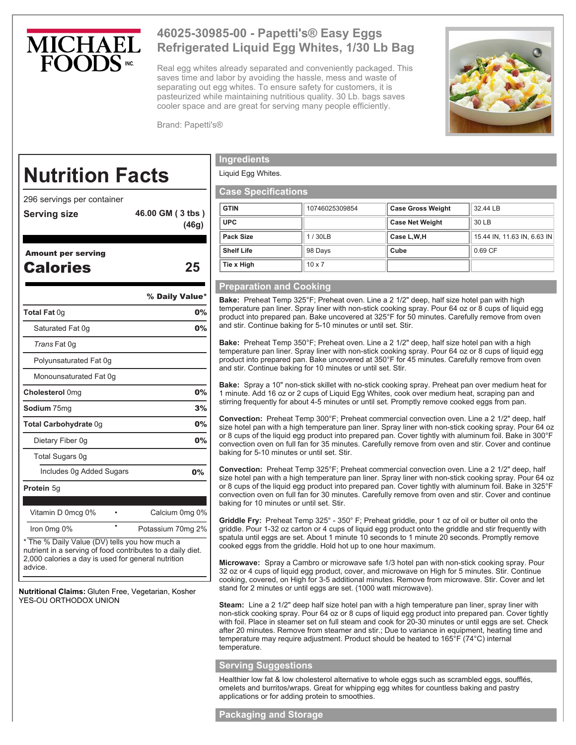

# **46025-30985-00 - Papetti's® Easy Eggs Refrigerated Liquid Egg Whites, 1/30 Lb Bag**

Real egg whites already separated and conveniently packaged. This saves time and labor by avoiding the hassle, mess and waste of separating out egg whites. To ensure safety for customers, it is pasteurized while maintaining nutritious quality. 30 Lb. bags saves cooler space and are great for serving many people efficiently.



Brand: Papetti's®

# **Nutrition Facts**

296 servings per container

- **Serving size 46.00 GM ( 3 tbs ) (46g)**
- Amount per serving

Calories **25**

|                                                                                                             | % Daily Value*    |
|-------------------------------------------------------------------------------------------------------------|-------------------|
| Total Fat 0g                                                                                                | 0%                |
| Saturated Fat 0g                                                                                            | $0\%$             |
| Trans Fat 0g                                                                                                |                   |
| Polyunsaturated Fat 0q                                                                                      |                   |
| Monounsaturated Fat 0g                                                                                      |                   |
| Cholesterol 0mg                                                                                             | 0%                |
| <b>Sodium</b> 75mq                                                                                          | 3%                |
| Total Carbohydrate 0g                                                                                       | 0%                |
| Dietary Fiber 0g                                                                                            | 0%                |
| Total Sugars 0g                                                                                             |                   |
| Includes 0g Added Sugars                                                                                    | <b>0%</b>         |
| Protein 5g                                                                                                  |                   |
|                                                                                                             |                   |
| Vitamin D 0mcg 0%                                                                                           | Calcium 0mg 0%    |
| Iron 0mg 0%                                                                                                 | Potassium 70mg 2% |
| * The % Daily Value (DV) tells you how much a<br>nutrient in a serving of food contributes to a daily diet. |                   |

2,000 calories a day is used for general nutrition advice.

**Nutritional Claims:** Gluten Free, Vegetarian, Kosher YES-OU ORTHODOX UNION

# **Ingredients**

Liquid Egg Whites.

## **Case Specifications**

| <b>Case opecifications</b> |                |                          |                             |
|----------------------------|----------------|--------------------------|-----------------------------|
| <b>GTIN</b>                | 10746025309854 | <b>Case Gross Weight</b> | 32.44 LB                    |
| <b>UPC</b>                 |                | <b>Case Net Weight</b>   | 30 LB                       |
| <b>Pack Size</b>           | 1/30LB         | Case L.W.H               | 15.44 IN, 11.63 IN, 6.63 IN |
| <b>Shelf Life</b>          | 98 Days        | Cube                     | $0.69$ CF                   |
| Tie x High                 | $10 \times 7$  |                          |                             |

## **Preparation and Cooking**

**Bake:** Preheat Temp 325°F; Preheat oven. Line a 2 1/2" deep, half size hotel pan with high temperature pan liner. Spray liner with non-stick cooking spray. Pour 64 oz or 8 cups of liquid egg product into prepared pan. Bake uncovered at 325°F for 50 minutes. Carefully remove from oven and stir. Continue baking for 5-10 minutes or until set. Stir.

**Bake:** Preheat Temp 350°F; Preheat oven. Line a 2 1/2" deep, half size hotel pan with a high temperature pan liner. Spray liner with non-stick cooking spray. Pour 64 oz or 8 cups of liquid egg product into prepared pan. Bake uncovered at 350°F for 45 minutes. Carefully remove from oven and stir. Continue baking for 10 minutes or until set. Stir.

**Bake:** Spray a 10" non-stick skillet with no-stick cooking spray. Preheat pan over medium heat for 1 minute. Add 16 oz or 2 cups of Liquid Egg Whites, cook over medium heat, scraping pan and stirring frequently for about 4-5 minutes or until set. Promptly remove cooked eggs from pan.

**Convection:** Preheat Temp 300°F; Preheat commercial convection oven. Line a 2 1/2" deep, half size hotel pan with a high temperature pan liner. Spray liner with non-stick cooking spray. Pour 64 oz or 8 cups of the liquid egg product into prepared pan. Cover tightly with aluminum foil. Bake in 300°F convection oven on full fan for 35 minutes. Carefully remove from oven and stir. Cover and continue baking for 5-10 minutes or until set. Stir.

**Convection:** Preheat Temp 325°F; Preheat commercial convection oven. Line a 2 1/2" deep, half size hotel pan with a high temperature pan liner. Spray liner with non-stick cooking spray. Pour 64 oz or 8 cups of the liquid egg product into prepared pan. Cover tightly with aluminum foil. Bake in 325°F convection oven on full fan for 30 minutes. Carefully remove from oven and stir. Cover and continue baking for 10 minutes or until set. Stir.

**Griddle Fry:** Preheat Temp 325° - 350° F; Preheat griddle, pour 1 oz of oil or butter oil onto the griddle. Pour 1-32 oz carton or 4 cups of liquid egg product onto the griddle and stir frequently with spatula until eggs are set. About 1 minute 10 seconds to 1 minute 20 seconds. Promptly remove cooked eggs from the griddle. Hold hot up to one hour maximum.

**Microwave:** Spray a Cambro or microwave safe 1/3 hotel pan with non-stick cooking spray. Pour 32 oz or 4 cups of liquid egg product, cover, and microwave on High for 5 minutes. Stir. Continue cooking, covered, on High for 3-5 additional minutes. Remove from microwave. Stir. Cover and let stand for 2 minutes or until eggs are set. (1000 watt microwave).

**Steam:** Line a 2 1/2" deep half size hotel pan with a high temperature pan liner, spray liner with non-stick cooking spray. Pour 64 oz or 8 cups of liquid egg product into prepared pan. Cover tightly with foil. Place in steamer set on full steam and cook for 20-30 minutes or until eggs are set. Check after 20 minutes. Remove from steamer and stir.; Due to variance in equipment, heating time and temperature may require adjustment. Product should be heated to 165°F (74°C) internal temperature.

## **Serving Suggestions**

Healthier low fat & low cholesterol alternative to whole eggs such as scrambled eggs, soufflés, omelets and burritos/wraps. Great for whipping egg whites for countless baking and pastry applications or for adding protein to smoothies.

#### **Packaging and Storage**